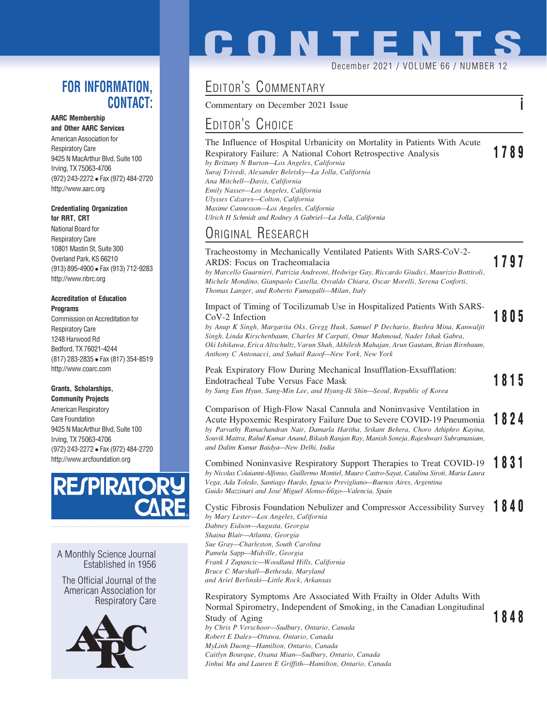### FOR INFORMATION, CONTACT:

### AARC Membership

and Other AARC Services American Association for Respiratory Care 9425 N MacArthur Blvd, Suite 100 Irving, TX 75063-4706 (972) 243-2272 Fax (972) 484-2720 http://www.aarc.org

#### Credentialing Organization for RRT, CRT

National Board for Respiratory Care 10801 Mastin St, Suite 300 Overland Park, KS 66210 (913) 895-4900 Fax (913) 712-9283 http://www.nbrc.org

#### Accreditation of Education Programs

Commission on Accreditation for Respiratory Care 1248 Harwood Rd Bedford, TX 76021-4244 (817) 283-2835 Fax (817) 354-8519 http://www.coarc.com

### Grants, Scholarships,

Community Projects American Respiratory Care Foundation 9425 N MacArthur Blvd, Suite 100 Irving, TX 75063-4706 (972) 243-2272 Fax (972) 484-2720 http://www.arcfoundation.org



A Monthly Science Journal Established in 1956

The Official Journal of the American Association for Respiratory Care



# **CONTENT** December 2021 / VOLUME 66 / NUMBER 12

## EDITOR'S COMMENTARY

Commentary on December 2021 Issue i

## EDITOR'S CHOICE

### The Influence of Hospital Urbanicity on Mortality in Patients With Acute Respiratory Failure: A National Cohort Retrospective Analysis 1789 by Brittany N Burton—Los Angeles, California

Suraj Trivedi, Alexander Beletsky—La Jolla, California Ana Mitchell—Davis, California Emily Nasser—Los Angeles, California Ulysses Cázares-Colton, California Maxime Cannesson—Los Angeles, California Ulrich H Schmidt and Rodney A Gabriel—La Jolla, California

## ORIGINAL RESEARCH

Tracheostomy in Mechanically Ventilated Patients With SARS-CoV-2- ARDS: Focus on Tracheomalacia **1797** by Marcello Guarnieri, Patrizia Andreoni, Hedwige Gay, Riccardo Giudici, Maurizio Bottiroli, Michele Mondino, Gianpaolo Casella, Osvaldo Chiara, Oscar Morelli, Serena Conforti,

Thomas Langer, and Roberto Fumagalli—Milan, Italy

# Impact of Timing of Tocilizumab Use in Hospitalized Patients With SARS-

CoV-2 Infection **1805**<br>by Anup K Singh, Margarita Oks, Gregg Husk, Samuel P Dechario, Bushra Mina, Kanwaljit Singh, Linda Kirschenbaum, Charles M Carpati, Omar Mahmoud, Nader Ishak Gabra, Oki Ishikawa, Erica Altschultz, Varun Shah, Akhilesh Mahajan, Arun Gautam, Brian Birnbaum, Anthony C Antonacci, and Suhail Raoof—New York, New York

### Peak Expiratory Flow During Mechanical Insufflation-Exsufflation: Endotracheal Tube Versus Face Mask  $\overline{1815}$

by Sung Eun Hyun, Sang-Min Lee, and Hyung-Ik Shin—Seoul, Republic of Korea

#### Comparison of High-Flow Nasal Cannula and Noninvasive Ventilation in Acute Hypoxemic Respiratory Failure Due to Severe COVID-19 Pneumonia 1824 by Parvathy Ramachandran Nair, Damarla Haritha, Srikant Behera, Choro Athiphro Kayina, Souvik Maitra, Rahul Kumar Anand, Bikash Ranjan Ray, Manish Soneja, Rajeshwari Subramaniam, and Dalim Kumar Baidya—New Delhi, India

Combined Noninvasive Respiratory Support Therapies to Treat COVID-19 1831 by Nicolas Colaianni-Alfonso, Guillermo Montiel, Mauro Castro-Sayat, Catalina Siroti, Maria Laura Vega, Ada Toledo, Santiago Haedo, Ignacio Previgliano—Buenos Aires, Argentina Guido Mazzinari and José Miguel Alonso-Íñigo—Valencia, Spain

Cystic Fibrosis Foundation Nebulizer and Compressor Accessibility Survey 1840 by Mary Lester—Los Angeles, California Dabney Eidson—Augusta, Georgia Shaina Blair—Atlanta, Georgia Sue Gray—Charleston, South Carolina Pamela Sapp—Midville, Georgia Frank J Zupancic—Woodland Hills, California Bruce C Marshall—Bethesda, Maryland and Ariel Berlinski—Little Rock, Arkansas

Respiratory Symptoms Are Associated With Frailty in Older Adults With Normal Spirometry, Independent of Smoking, in the Canadian Longitudinal Study of Aging 1848<br>by Chris P Verschoor—Sudbury, Ontario, Canada 1848

Robert E Dales—Ottawa, Ontario, Canada MyLinh Duong—Hamilton, Ontario, Canada Caitlyn Bourque, Oxana Mian—Sudbury, Ontario, Canada Jinhui Ma and Lauren E Griffith—Hamilton, Ontario, Canada